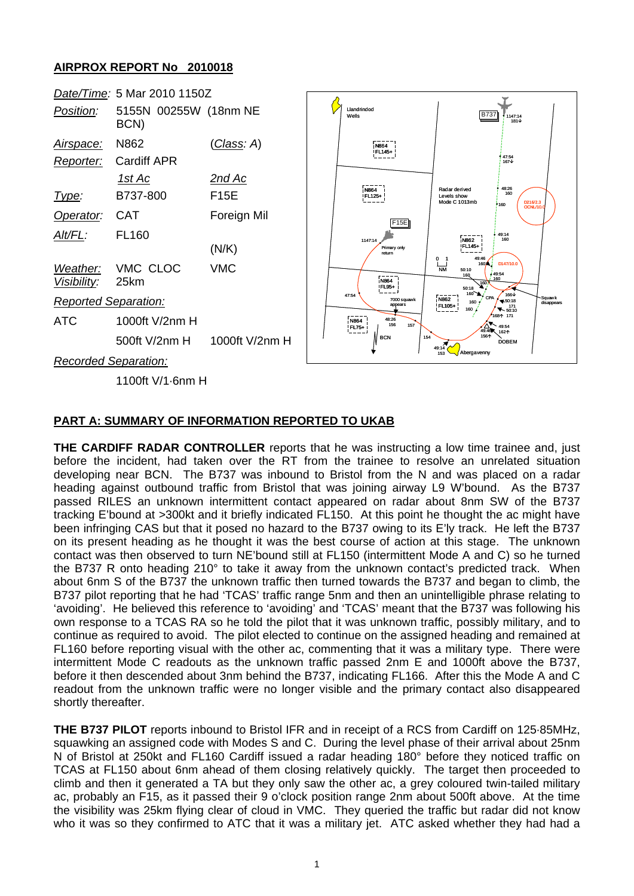## **AIRPROX REPORT No 2010018**



## **PART A: SUMMARY OF INFORMATION REPORTED TO UKAB**

**THE CARDIFF RADAR CONTROLLER** reports that he was instructing a low time trainee and, just before the incident, had taken over the RT from the trainee to resolve an unrelated situation developing near BCN. The B737 was inbound to Bristol from the N and was placed on a radar heading against outbound traffic from Bristol that was joining airway L9 W'bound. As the B737 passed RILES an unknown intermittent contact appeared on radar about 8nm SW of the B737 tracking E'bound at >300kt and it briefly indicated FL150. At this point he thought the ac might have been infringing CAS but that it posed no hazard to the B737 owing to its E'ly track. He left the B737 on its present heading as he thought it was the best course of action at this stage. The unknown contact was then observed to turn NE'bound still at FL150 (intermittent Mode A and C) so he turned the B737 R onto heading 210° to take it away from the unknown contact's predicted track. When about 6nm S of the B737 the unknown traffic then turned towards the B737 and began to climb, the B737 pilot reporting that he had 'TCAS' traffic range 5nm and then an unintelligible phrase relating to 'avoiding'. He believed this reference to 'avoiding' and 'TCAS' meant that the B737 was following his own response to a TCAS RA so he told the pilot that it was unknown traffic, possibly military, and to continue as required to avoid. The pilot elected to continue on the assigned heading and remained at FL160 before reporting visual with the other ac, commenting that it was a military type. There were intermittent Mode C readouts as the unknown traffic passed 2nm E and 1000ft above the B737, before it then descended about 3nm behind the B737, indicating FL166. After this the Mode A and C readout from the unknown traffic were no longer visible and the primary contact also disappeared shortly thereafter.

**THE B737 PILOT** reports inbound to Bristol IFR and in receipt of a RCS from Cardiff on 125·85MHz, squawking an assigned code with Modes S and C. During the level phase of their arrival about 25nm N of Bristol at 250kt and FL160 Cardiff issued a radar heading 180° before they noticed traffic on TCAS at FL150 about 6nm ahead of them closing relatively quickly. The target then proceeded to climb and then it generated a TA but they only saw the other ac, a grey coloured twin-tailed military ac, probably an F15, as it passed their 9 o'clock position range 2nm about 500ft above. At the time the visibility was 25km flying clear of cloud in VMC. They queried the traffic but radar did not know who it was so they confirmed to ATC that it was a military jet. ATC asked whether they had had a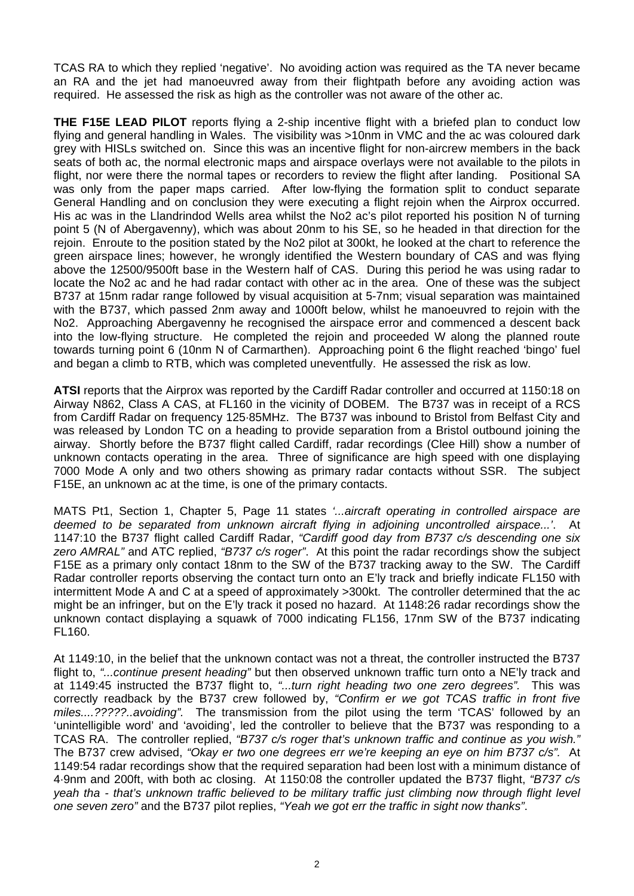TCAS RA to which they replied 'negative'. No avoiding action was required as the TA never became an RA and the jet had manoeuvred away from their flightpath before any avoiding action was required. He assessed the risk as high as the controller was not aware of the other ac.

**THE F15E LEAD PILOT** reports flying a 2-ship incentive flight with a briefed plan to conduct low flying and general handling in Wales. The visibility was >10nm in VMC and the ac was coloured dark grey with HISLs switched on. Since this was an incentive flight for non-aircrew members in the back seats of both ac, the normal electronic maps and airspace overlays were not available to the pilots in flight, nor were there the normal tapes or recorders to review the flight after landing. Positional SA was only from the paper maps carried. After low-flying the formation split to conduct separate General Handling and on conclusion they were executing a flight rejoin when the Airprox occurred. His ac was in the Llandrindod Wells area whilst the No2 ac's pilot reported his position N of turning point 5 (N of Abergavenny), which was about 20nm to his SE, so he headed in that direction for the rejoin. Enroute to the position stated by the No2 pilot at 300kt, he looked at the chart to reference the green airspace lines; however, he wrongly identified the Western boundary of CAS and was flying above the 12500/9500ft base in the Western half of CAS. During this period he was using radar to locate the No2 ac and he had radar contact with other ac in the area. One of these was the subject B737 at 15nm radar range followed by visual acquisition at 5-7nm; visual separation was maintained with the B737, which passed 2nm away and 1000ft below, whilst he manoeuvred to rejoin with the No2. Approaching Abergavenny he recognised the airspace error and commenced a descent back into the low-flying structure. He completed the rejoin and proceeded W along the planned route towards turning point 6 (10nm N of Carmarthen). Approaching point 6 the flight reached 'bingo' fuel and began a climb to RTB, which was completed uneventfully. He assessed the risk as low.

**ATSI** reports that the Airprox was reported by the Cardiff Radar controller and occurred at 1150:18 on Airway N862, Class A CAS, at FL160 in the vicinity of DOBEM. The B737 was in receipt of a RCS from Cardiff Radar on frequency 125·85MHz. The B737 was inbound to Bristol from Belfast City and was released by London TC on a heading to provide separation from a Bristol outbound joining the airway. Shortly before the B737 flight called Cardiff, radar recordings (Clee Hill) show a number of unknown contacts operating in the area. Three of significance are high speed with one displaying 7000 Mode A only and two others showing as primary radar contacts without SSR. The subject F15E, an unknown ac at the time, is one of the primary contacts.

MATS Pt1, Section 1, Chapter 5, Page 11 states *'...aircraft operating in controlled airspace are deemed to be separated from unknown aircraft flying in adjoining uncontrolled airspace...'*. At 1147:10 the B737 flight called Cardiff Radar, *"Cardiff good day from B737 c/s descending one six zero AMRAL"* and ATC replied, *"B737 c/s roger"*. At this point the radar recordings show the subject F15E as a primary only contact 18nm to the SW of the B737 tracking away to the SW. The Cardiff Radar controller reports observing the contact turn onto an E'ly track and briefly indicate FL150 with intermittent Mode A and C at a speed of approximately >300kt. The controller determined that the ac might be an infringer, but on the E'ly track it posed no hazard. At 1148:26 radar recordings show the unknown contact displaying a squawk of 7000 indicating FL156, 17nm SW of the B737 indicating FL160.

At 1149:10, in the belief that the unknown contact was not a threat, the controller instructed the B737 flight to, *"...continue present heading"* but then observed unknown traffic turn onto a NE'ly track and at 1149:45 instructed the B737 flight to, *"...turn right heading two one zero degrees".* This was correctly readback by the B737 crew followed by, *"Confirm er we got TCAS traffic in front five miles....?????..avoiding".* The transmission from the pilot using the term 'TCAS' followed by an 'unintelligible word' and 'avoiding', led the controller to believe that the B737 was responding to a TCAS RA. The controller replied, *"B737 c/s roger that's unknown traffic and continue as you wish."*  The B737 crew advised, *"Okay er two one degrees err we're keeping an eye on him B737 c/s".* At 1149:54 radar recordings show that the required separation had been lost with a minimum distance of 4·9nm and 200ft, with both ac closing. At 1150:08 the controller updated the B737 flight, *"B737 c/s yeah tha - that's unknown traffic believed to be military traffic just climbing now through flight level one seven zero"* and the B737 pilot replies, *"Yeah we got err the traffic in sight now thanks"*.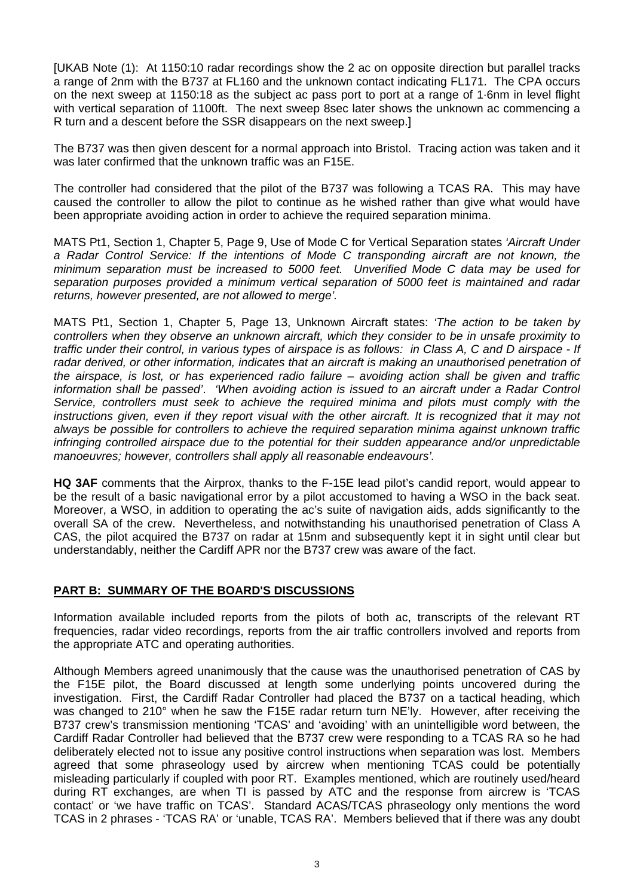[UKAB Note (1): At 1150:10 radar recordings show the 2 ac on opposite direction but parallel tracks a range of 2nm with the B737 at FL160 and the unknown contact indicating FL171. The CPA occurs on the next sweep at 1150:18 as the subject ac pass port to port at a range of 1·6nm in level flight with vertical separation of 1100ft. The next sweep 8sec later shows the unknown ac commencing a R turn and a descent before the SSR disappears on the next sweep.]

The B737 was then given descent for a normal approach into Bristol. Tracing action was taken and it was later confirmed that the unknown traffic was an F15E.

The controller had considered that the pilot of the B737 was following a TCAS RA. This may have caused the controller to allow the pilot to continue as he wished rather than give what would have been appropriate avoiding action in order to achieve the required separation minima.

MATS Pt1, Section 1, Chapter 5, Page 9, Use of Mode C for Vertical Separation states *'Aircraft Under*  a Radar Control Service: If the intentions of Mode C transponding aircraft are not known, the *minimum separation must be increased to 5000 feet. Unverified Mode C data may be used for separation purposes provided a minimum vertical separation of 5000 feet is maintained and radar returns, however presented, are not allowed to merge'.*

MATS Pt1, Section 1, Chapter 5, Page 13, Unknown Aircraft states: *'The action to be taken by controllers when they observe an unknown aircraft, which they consider to be in unsafe proximity to traffic under their control, in various types of airspace is as follows: in Class A, C and D airspace - If radar derived, or other information, indicates that an aircraft is making an unauthorised penetration of the airspace, is lost, or has experienced radio failure – avoiding action shall be given and traffic information shall be passed'*. *'When avoiding action is issued to an aircraft under a Radar Control Service, controllers must seek to achieve the required minima and pilots must comply with the*  instructions given, even if they report visual with the other aircraft. It is recognized that it may not *always be possible for controllers to achieve the required separation minima against unknown traffic infringing controlled airspace due to the potential for their sudden appearance and/or unpredictable manoeuvres; however, controllers shall apply all reasonable endeavours'.*

**HQ 3AF** comments that the Airprox, thanks to the F-15E lead pilot's candid report, would appear to be the result of a basic navigational error by a pilot accustomed to having a WSO in the back seat. Moreover, a WSO, in addition to operating the ac's suite of navigation aids, adds significantly to the overall SA of the crew. Nevertheless, and notwithstanding his unauthorised penetration of Class A CAS, the pilot acquired the B737 on radar at 15nm and subsequently kept it in sight until clear but understandably, neither the Cardiff APR nor the B737 crew was aware of the fact.

## **PART B: SUMMARY OF THE BOARD'S DISCUSSIONS**

Information available included reports from the pilots of both ac, transcripts of the relevant RT frequencies, radar video recordings, reports from the air traffic controllers involved and reports from the appropriate ATC and operating authorities.

Although Members agreed unanimously that the cause was the unauthorised penetration of CAS by the F15E pilot, the Board discussed at length some underlying points uncovered during the investigation. First, the Cardiff Radar Controller had placed the B737 on a tactical heading, which was changed to 210° when he saw the F15E radar return turn NE'ly. However, after receiving the B737 crew's transmission mentioning 'TCAS' and 'avoiding' with an unintelligible word between, the Cardiff Radar Controller had believed that the B737 crew were responding to a TCAS RA so he had deliberately elected not to issue any positive control instructions when separation was lost. Members agreed that some phraseology used by aircrew when mentioning TCAS could be potentially misleading particularly if coupled with poor RT. Examples mentioned, which are routinely used/heard during RT exchanges, are when TI is passed by ATC and the response from aircrew is 'TCAS contact' or 'we have traffic on TCAS'. Standard ACAS/TCAS phraseology only mentions the word TCAS in 2 phrases - 'TCAS RA' or 'unable, TCAS RA'. Members believed that if there was any doubt